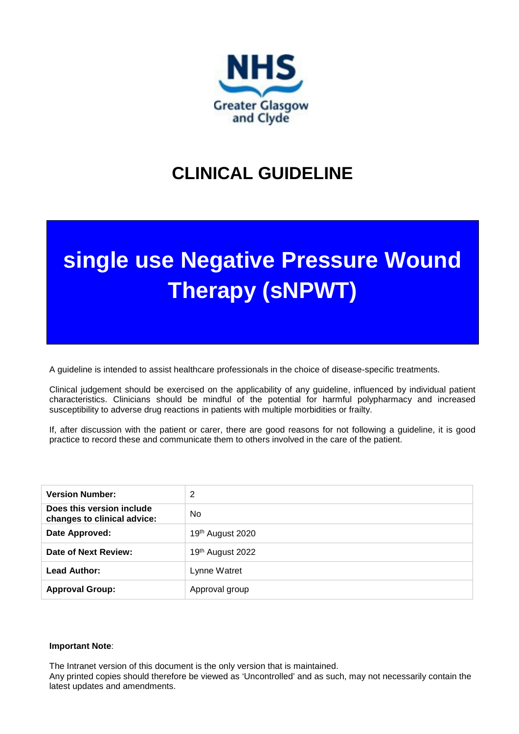

# **CLINICAL GUIDELINE**

# **single use Negative Pressure Wound Therapy (sNPWT)**

A guideline is intended to assist healthcare professionals in the choice of disease-specific treatments.

Clinical judgement should be exercised on the applicability of any guideline, influenced by individual patient characteristics. Clinicians should be mindful of the potential for harmful polypharmacy and increased susceptibility to adverse drug reactions in patients with multiple morbidities or frailty.

If, after discussion with the patient or carer, there are good reasons for not following a guideline, it is good practice to record these and communicate them to others involved in the care of the patient.

| <b>Version Number:</b>                                   | 2                |
|----------------------------------------------------------|------------------|
| Does this version include<br>changes to clinical advice: | N <sub>0</sub>   |
| Date Approved:                                           | 19th August 2020 |
| Date of Next Review:                                     | 19th August 2022 |
| Lead Author:                                             | Lynne Watret     |
| <b>Approval Group:</b>                                   | Approval group   |

#### **Important Note**:

The Intranet version of this document is the only version that is maintained.

Any printed copies should therefore be viewed as 'Uncontrolled' and as such, may not necessarily contain the latest updates and amendments.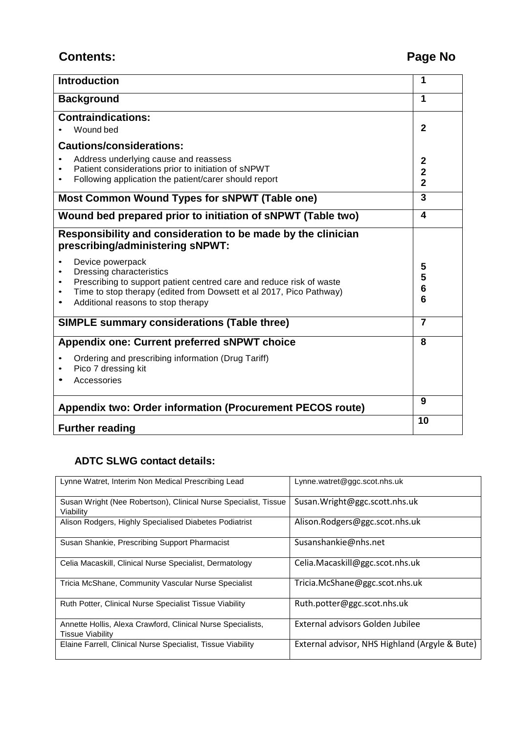# **Contents: Page No**

| <b>Introduction</b>                                                                              |                         |  |
|--------------------------------------------------------------------------------------------------|-------------------------|--|
| <b>Background</b>                                                                                |                         |  |
| <b>Contraindications:</b>                                                                        |                         |  |
| Wound bed                                                                                        | $\overline{2}$          |  |
| <b>Cautions/considerations:</b>                                                                  |                         |  |
| Address underlying cause and reassess                                                            | 2                       |  |
| Patient considerations prior to initiation of sNPWT                                              | $\overline{\mathbf{2}}$ |  |
| Following application the patient/carer should report                                            | $\overline{2}$          |  |
| <b>Most Common Wound Types for sNPWT (Table one)</b>                                             | 3                       |  |
| Wound bed prepared prior to initiation of SNPWT (Table two)                                      | 4                       |  |
| Responsibility and consideration to be made by the clinician<br>prescribing/administering sNPWT: |                         |  |
| Device powerpack                                                                                 | 5                       |  |
| Dressing characteristics                                                                         | 5                       |  |
| Prescribing to support patient centred care and reduce risk of waste                             | 6                       |  |
| Time to stop therapy (edited from Dowsett et al 2017, Pico Pathway)                              | 6                       |  |
| Additional reasons to stop therapy                                                               |                         |  |
| <b>SIMPLE summary considerations (Table three)</b>                                               | $\overline{7}$          |  |
| Appendix one: Current preferred SNPWT choice                                                     | 8                       |  |
| Ordering and prescribing information (Drug Tariff)                                               |                         |  |
| Pico 7 dressing kit                                                                              |                         |  |
| Accessories                                                                                      |                         |  |
| <b>Appendix two: Order information (Procurement PECOS route)</b>                                 |                         |  |
| <b>Further reading</b>                                                                           |                         |  |

## **ADTC SLWG contact details:**

| Lynne Watret, Interim Non Medical Prescribing Lead                                     | Lynne.watret@ggc.scot.nhs.uk                   |
|----------------------------------------------------------------------------------------|------------------------------------------------|
| Susan Wright (Nee Robertson), Clinical Nurse Specialist, Tissue<br>Viability           | Susan. Wright@ggc.scott.nhs.uk                 |
| Alison Rodgers, Highly Specialised Diabetes Podiatrist                                 | Alison.Rodgers@ggc.scot.nhs.uk                 |
| Susan Shankie, Prescribing Support Pharmacist                                          | Susanshankie@nhs.net                           |
| Celia Macaskill, Clinical Nurse Specialist, Dermatology                                | Celia.Macaskill@ggc.scot.nhs.uk                |
| Tricia McShane, Community Vascular Nurse Specialist                                    | Tricia.McShane@ggc.scot.nhs.uk                 |
| Ruth Potter, Clinical Nurse Specialist Tissue Viability                                | Ruth.potter@ggc.scot.nhs.uk                    |
| Annette Hollis, Alexa Crawford, Clinical Nurse Specialists,<br><b>Tissue Viability</b> | External advisors Golden Jubilee               |
| Elaine Farrell, Clinical Nurse Specialist, Tissue Viability                            | External advisor, NHS Highland (Argyle & Bute) |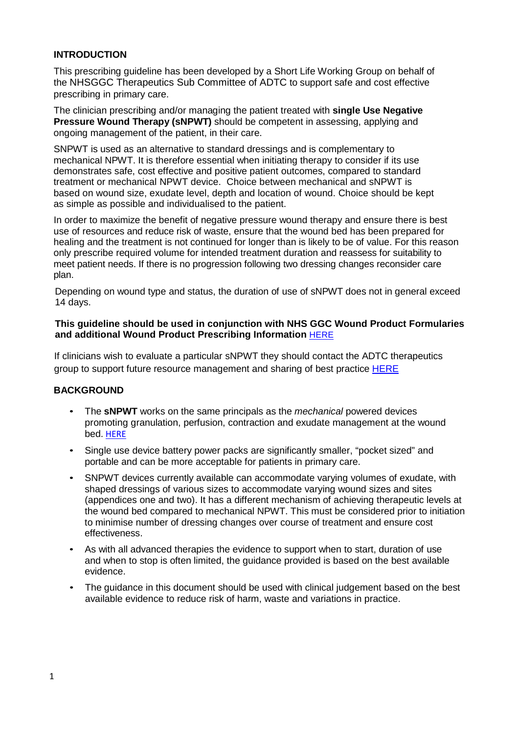## **INTRODUCTION**

This prescribing guideline has been developed by a Short Life Working Group on behalf of the NHSGGC Therapeutics Sub Committee of ADTC to support safe and cost effective prescribing in primary care.

The clinician prescribing and/or managing the patient treated with **single Use Negative Pressure Wound Therapy (sNPWT)** should be competent in assessing, applying and ongoing management of the patient, in their care.

SNPWT is used as an alternative to standard dressings and is complementary to mechanical NPWT. It is therefore essential when initiating therapy to consider if its use demonstrates safe, cost effective and positive patient outcomes, compared to standard treatment or mechanical NPWT device. Choice between mechanical and sNPWT is based on wound size, exudate level, depth and location of wound. Choice should be kept as simple as possible and individualised to the patient.

In order to maximize the benefit of negative pressure wound therapy and ensure there is best use of resources and reduce risk of waste, ensure that the wound bed has been prepared for healing and the treatment is not continued for longer than is likely to be of value. For this reason only prescribe required volume for intended treatment duration and reassess for suitability to meet patient needs. If there is no progression following two dressing changes reconsider care plan.

Depending on wound type and status, the duration of use of sNPWT does not in general exceed 14 days.

#### **This guideline should be used in conjunction with NHS GGC Wound Product Formularies and additional Wound Product Prescribing Information** [HERE](http://www.ggcprescribing.org.uk/non-medicines-formularies/)

If clinicians wish to evaluate a particular sNPWT they should contact the ADTC therapeutics group to support future resource management and sharing of best practice [HERE](http://www.ggcprescribing.org.uk/media/uploads/policies/section_8/therapeutics_process_document_and_charts_2016.pdf)

## **BACKGROUND**

- The **sNPWT** works on the same principals as the *mechanical* powered devices promoting granulation, perfusion, contraction and exudate management at the wound bed. [HERE](http://www.staffnet.ggc.scot.nhs.uk/Acute/Division%20Wide%20Services/TissueViabilityServiceAcuteDivision/Documents/Negative%20Pressure%20Wound%20Therapy%20Protocol%20v5%20-%20with%20amendment.pdf)
- Single use device battery power packs are significantly smaller, "pocket sized" and portable and can be more acceptable for patients in primary care.
- SNPWT devices currently available can accommodate varying volumes of exudate, with shaped dressings of various sizes to accommodate varying wound sizes and sites (appendices one and two). It has a different mechanism of achieving therapeutic levels at the wound bed compared to mechanical NPWT. This must be considered prior to initiation to minimise number of dressing changes over course of treatment and ensure cost effectiveness.
- As with all advanced therapies the evidence to support when to start, duration of use and when to stop is often limited, the guidance provided is based on the best available evidence.
- The guidance in this document should be used with clinical judgement based on the best available evidence to reduce risk of harm, waste and variations in practice.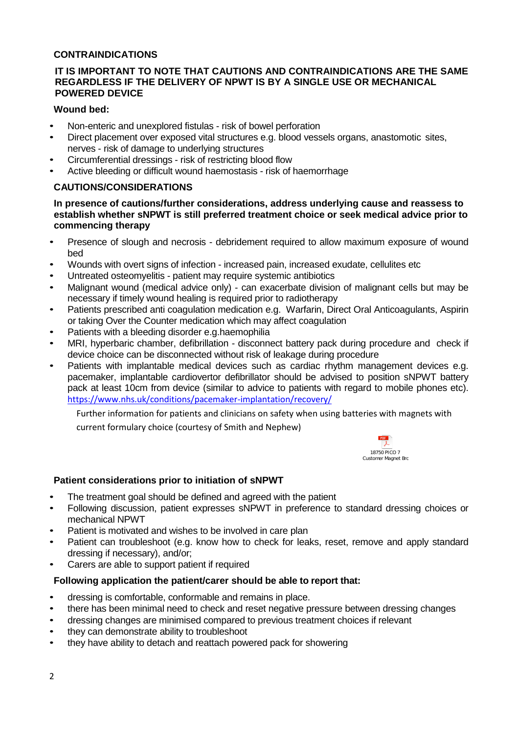## **CONTRAINDICATIONS**

## **IT IS IMPORTANT TO NOTE THAT CAUTIONS AND CONTRAINDICATIONS ARE THE SAME REGARDLESS IF THE DELIVERY OF NPWT IS BY A SINGLE USE OR MECHANICAL POWERED DEVICE**

## **Wound bed:**

- Non-enteric and unexplored fistulas risk of bowel perforation
- Direct placement over exposed vital structures e.g. blood vessels organs, anastomotic sites, nerves - risk of damage to underlying structures
- Circumferential dressings risk of restricting blood flow
- Active bleeding or difficult wound haemostasis risk of haemorrhage

## **CAUTIONS/CONSIDERATIONS**

#### **In presence of cautions/further considerations, address underlying cause and reassess to establish whether sNPWT is still preferred treatment choice or seek medical advice prior to commencing therapy**

- Presence of slough and necrosis debridement required to allow maximum exposure of wound bed
- Wounds with overt signs of infection increased pain, increased exudate, cellulites etc
- Untreated osteomyelitis patient may require systemic antibiotics
- Malignant wound (medical advice only) can exacerbate division of malignant cells but may be necessary if timely wound healing is required prior to radiotherapy
- Patients prescribed anti coagulation medication e.g. Warfarin, Direct Oral Anticoagulants, Aspirin or taking Over the Counter medication which may affect coagulation
- Patients with a bleeding disorder e.g.haemophilia
- MRI, hyperbaric chamber, defibrillation disconnect battery pack during procedure and check if device choice can be disconnected without risk of leakage during procedure
- Patients with implantable medical devices such as cardiac rhythm management devices e.g. pacemaker, implantable cardiovertor defibrillator should be advised to position sNPWT battery pack at least 10cm from device (similar to advice to patients with regard to mobile phones etc). <https://www.nhs.uk/conditions/pacemaker-implantation/recovery/>

Further information for patients and clinicians on safety when using batteries with magnets with

current formulary choice (courtesy of Smith and Nephew)



## **Patient considerations prior to initiation of sNPWT**

- The treatment goal should be defined and agreed with the patient
- Following discussion, patient expresses sNPWT in preference to standard dressing choices or mechanical NPWT
- Patient is motivated and wishes to be involved in care plan
- Patient can troubleshoot (e.g. know how to check for leaks, reset, remove and apply standard dressing if necessary), and/or;
- Carers are able to support patient if required

## **Following application the patient/carer should be able to report that:**

- dressing is comfortable, conformable and remains in place.
- there has been minimal need to check and reset negative pressure between dressing changes
- dressing changes are minimised compared to previous treatment choices if relevant
- they can demonstrate ability to troubleshoot
- they have ability to detach and reattach powered pack for showering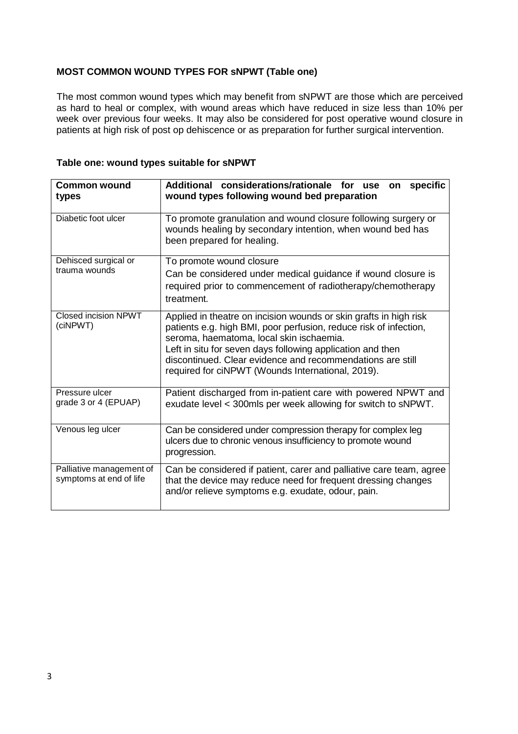## **MOST COMMON WOUND TYPES FOR sNPWT (Table one)**

The most common wound types which may benefit from sNPWT are those which are perceived as hard to heal or complex, with wound areas which have reduced in size less than 10% per week over previous four weeks. It may also be considered for post operative wound closure in patients at high risk of post op dehiscence or as preparation for further surgical intervention.

#### **Table one: wound types suitable for sNPWT**

| <b>Common wound</b><br>types                        | Additional considerations/rationale for use<br>specific<br>on<br>wound types following wound bed preparation                                                                                                                                                                                                                                                        |  |  |  |  |
|-----------------------------------------------------|---------------------------------------------------------------------------------------------------------------------------------------------------------------------------------------------------------------------------------------------------------------------------------------------------------------------------------------------------------------------|--|--|--|--|
| Diabetic foot ulcer                                 | To promote granulation and wound closure following surgery or<br>wounds healing by secondary intention, when wound bed has<br>been prepared for healing.                                                                                                                                                                                                            |  |  |  |  |
| Dehisced surgical or<br>trauma wounds               | To promote wound closure<br>Can be considered under medical guidance if wound closure is<br>required prior to commencement of radiotherapy/chemotherapy<br>treatment.                                                                                                                                                                                               |  |  |  |  |
| <b>Closed incision NPWT</b><br>(ciNPWT)             | Applied in theatre on incision wounds or skin grafts in high risk<br>patients e.g. high BMI, poor perfusion, reduce risk of infection,<br>seroma, haematoma, local skin ischaemia.<br>Left in situ for seven days following application and then<br>discontinued. Clear evidence and recommendations are still<br>required for ciNPWT (Wounds International, 2019). |  |  |  |  |
| Pressure ulcer<br>grade 3 or 4 (EPUAP)              | Patient discharged from in-patient care with powered NPWT and<br>exudate level < 300mls per week allowing for switch to sNPWT.                                                                                                                                                                                                                                      |  |  |  |  |
| Venous leg ulcer                                    | Can be considered under compression therapy for complex leg<br>ulcers due to chronic venous insufficiency to promote wound<br>progression.                                                                                                                                                                                                                          |  |  |  |  |
| Palliative management of<br>symptoms at end of life | Can be considered if patient, carer and palliative care team, agree<br>that the device may reduce need for frequent dressing changes<br>and/or relieve symptoms e.g. exudate, odour, pain.                                                                                                                                                                          |  |  |  |  |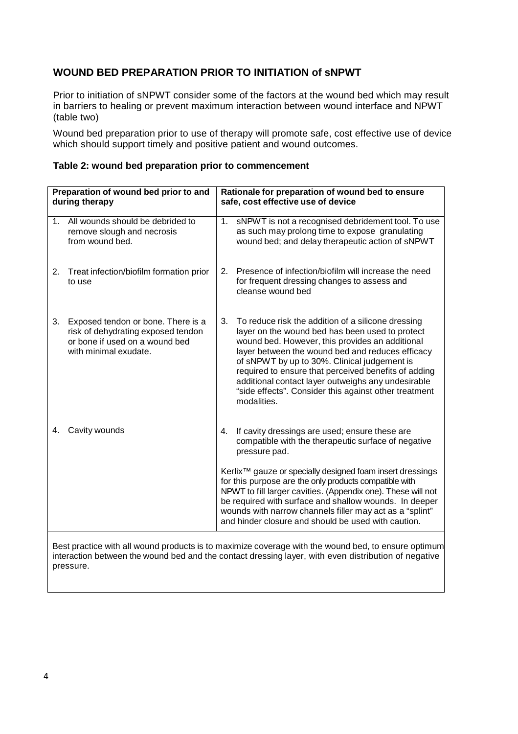## **WOUND BED PREPARATION PRIOR TO INITIATION of sNPWT**

Prior to initiation of sNPWT consider some of the factors at the wound bed which may result in barriers to healing or prevent maximum interaction between wound interface and NPWT (table two)

Wound bed preparation prior to use of therapy will promote safe, cost effective use of device which should support timely and positive patient and wound outcomes.

|  |  | Table 2: wound bed preparation prior to commencement |
|--|--|------------------------------------------------------|
|--|--|------------------------------------------------------|

| Preparation of wound bed prior to and<br>during therapy |                                                                                                                                     | Rationale for preparation of wound bed to ensure<br>safe, cost effective use of device                                                                                                                                                                                                                                                                                       |                                                                                                                                                                                                                                                                                                                                                                                                                                                    |  |  |
|---------------------------------------------------------|-------------------------------------------------------------------------------------------------------------------------------------|------------------------------------------------------------------------------------------------------------------------------------------------------------------------------------------------------------------------------------------------------------------------------------------------------------------------------------------------------------------------------|----------------------------------------------------------------------------------------------------------------------------------------------------------------------------------------------------------------------------------------------------------------------------------------------------------------------------------------------------------------------------------------------------------------------------------------------------|--|--|
|                                                         | 1. All wounds should be debrided to<br>remove slough and necrosis<br>from wound bed.                                                | 1.                                                                                                                                                                                                                                                                                                                                                                           | sNPWT is not a recognised debridement tool. To use<br>as such may prolong time to expose granulating<br>wound bed; and delay therapeutic action of sNPWT                                                                                                                                                                                                                                                                                           |  |  |
| 2.                                                      | Treat infection/biofilm formation prior<br>to use                                                                                   | 2.                                                                                                                                                                                                                                                                                                                                                                           | Presence of infection/biofilm will increase the need<br>for frequent dressing changes to assess and<br>cleanse wound bed                                                                                                                                                                                                                                                                                                                           |  |  |
| 3.                                                      | Exposed tendon or bone. There is a<br>risk of dehydrating exposed tendon<br>or bone if used on a wound bed<br>with minimal exudate. | 3.                                                                                                                                                                                                                                                                                                                                                                           | To reduce risk the addition of a silicone dressing<br>layer on the wound bed has been used to protect<br>wound bed. However, this provides an additional<br>layer between the wound bed and reduces efficacy<br>of sNPWT by up to 30%. Clinical judgement is<br>required to ensure that perceived benefits of adding<br>additional contact layer outweighs any undesirable<br>"side effects". Consider this against other treatment<br>modalities. |  |  |
| 4.                                                      | Cavity wounds                                                                                                                       | 4.                                                                                                                                                                                                                                                                                                                                                                           | If cavity dressings are used; ensure these are<br>compatible with the therapeutic surface of negative<br>pressure pad.                                                                                                                                                                                                                                                                                                                             |  |  |
|                                                         |                                                                                                                                     | Kerlix <sup>™</sup> gauze or specially designed foam insert dressings<br>for this purpose are the only products compatible with<br>NPWT to fill larger cavities. (Appendix one). These will not<br>be required with surface and shallow wounds. In deeper<br>wounds with narrow channels filler may act as a "splint"<br>and hinder closure and should be used with caution. |                                                                                                                                                                                                                                                                                                                                                                                                                                                    |  |  |
|                                                         |                                                                                                                                     |                                                                                                                                                                                                                                                                                                                                                                              |                                                                                                                                                                                                                                                                                                                                                                                                                                                    |  |  |

Best practice with all wound products is to maximize coverage with the wound bed, to ensure optimum interaction between the wound bed and the contact dressing layer, with even distribution of negative pressure.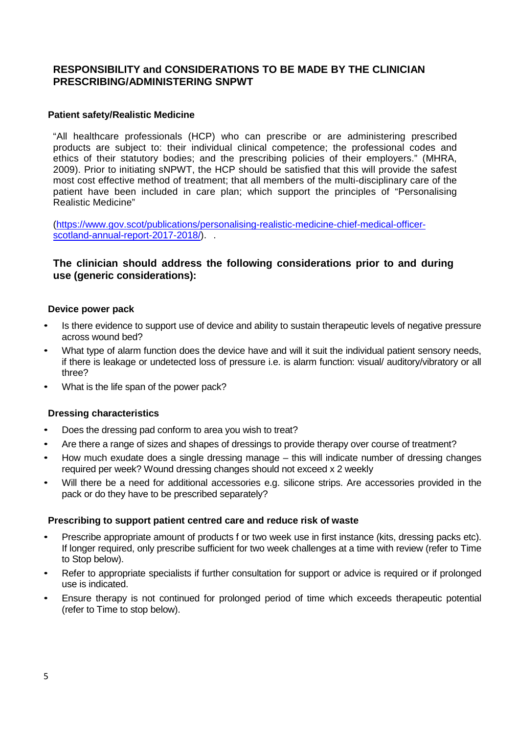## **RESPONSIBILITY and CONSIDERATIONS TO BE MADE BY THE CLINICIAN PRESCRIBING/ADMINISTERING SNPWT**

## **Patient safety/Realistic Medicine**

"All healthcare professionals (HCP) who can prescribe or are administering prescribed products are subject to: their individual clinical competence; the professional codes and ethics of their statutory bodies; and the prescribing policies of their employers." (MHRA, 2009). Prior to initiating sNPWT, the HCP should be satisfied that this will provide the safest most cost effective method of treatment; that all members of the multi-disciplinary care of the patient have been included in care plan; which support the principles of "Personalising Realistic Medicine"

[\(https://www.gov.scot/publications/personalising-realistic-medicine-chief-medical-officer](https://www.gov.scot/publications/personalising-realistic-medicine-chief-medical-officer-scotland-annual-report-2017-2018/)[scotland-annual-report-2017-2018/\)](https://www.gov.scot/publications/personalising-realistic-medicine-chief-medical-officer-scotland-annual-report-2017-2018/).

## **The clinician should address the following considerations prior to and during use (generic considerations):**

## **Device power pack**

- Is there evidence to support use of device and ability to sustain therapeutic levels of negative pressure across wound bed?
- What type of alarm function does the device have and will it suit the individual patient sensory needs, if there is leakage or undetected loss of pressure i.e. is alarm function: visual/ auditory/vibratory or all three?
- What is the life span of the power pack?

#### **Dressing characteristics**

- Does the dressing pad conform to area you wish to treat?
- Are there a range of sizes and shapes of dressings to provide therapy over course of treatment?
- How much exudate does a single dressing manage this will indicate number of dressing changes required per week? Wound dressing changes should not exceed x 2 weekly
- Will there be a need for additional accessories e.g. silicone strips. Are accessories provided in the pack or do they have to be prescribed separately?

#### **Prescribing to support patient centred care and reduce risk of waste**

- Prescribe appropriate amount of products f or two week use in first instance (kits, dressing packs etc). If longer required, only prescribe sufficient for two week challenges at a time with review (refer to Time to Stop below).
- Refer to appropriate specialists if further consultation for support or advice is required or if prolonged use is indicated.
- Ensure therapy is not continued for prolonged period of time which exceeds therapeutic potential (refer to Time to stop below).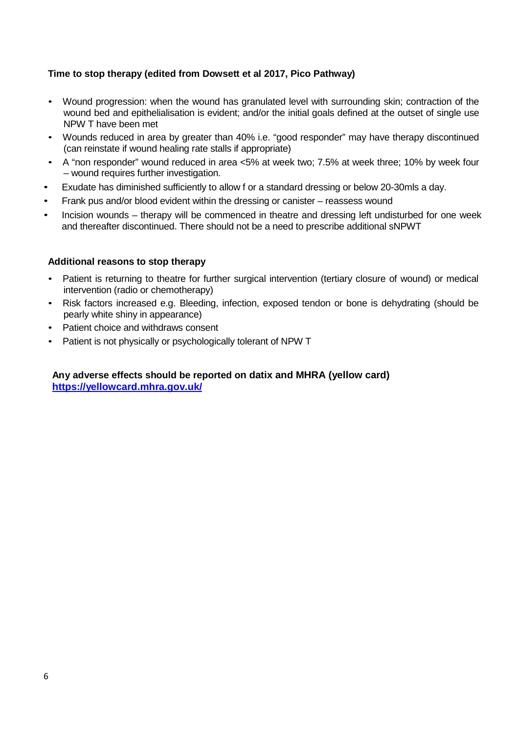## **Time to stop therapy (edited from Dowsett et al 2017, Pico Pathway)**

- Wound progression: when the wound has granulated level with surrounding skin; contraction of the wound bed and epithelialisation is evident; and/or the initial goals defined at the outset of single use NPW T have been met
- Wounds reduced in area by greater than 40% i.e. "good responder" may have therapy discontinued (can reinstate if wound healing rate stalls if appropriate)
- A "non responder" wound reduced in area <5% at week two; 7.5% at week three; 10% by week four – wound requires further investigation.
- Exudate has diminished sufficiently to allow f or a standard dressing or below 20-30mls a day.
- Frank pus and/or blood evident within the dressing or canister reassess wound
- Incision wounds therapy will be commenced in theatre and dressing left undisturbed for one week and thereafter discontinued. There should not be a need to prescribe additional sNPWT

## **Additional reasons to stop therapy**

- Patient is returning to theatre for further surgical intervention (tertiary closure of wound) or medical intervention (radio or chemotherapy)
- Risk factors increased e.g. Bleeding, infection, exposed tendon or bone is dehydrating (should be pearly white shiny in appearance)
- Patient choice and withdraws consent
- Patient is not physically or psychologically tolerant of NPW T

## **Any adverse effects should be reported on datix and MHRA (yellow card) <https://yellowcard.mhra.gov.uk/>**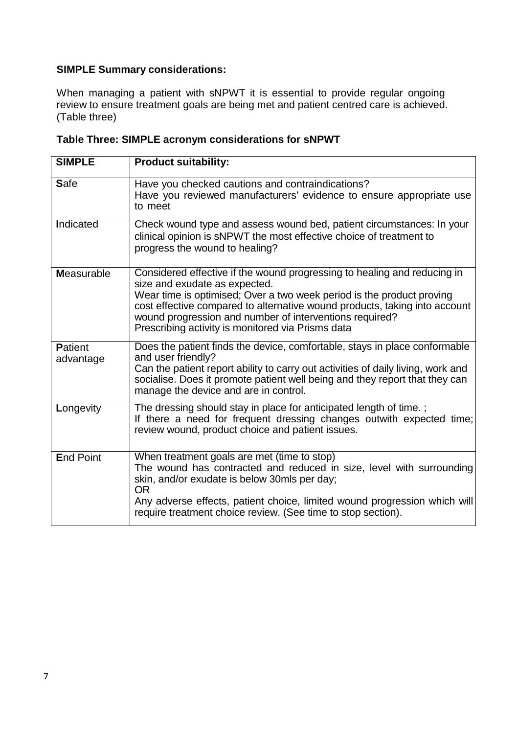## **SIMPLE Summary considerations:**

When managing a patient with sNPWT it is essential to provide regular ongoing review to ensure treatment goals are being met and patient centred care is achieved. (Table three)

| <b>SIMPLE</b>               | <b>Product suitability:</b>                                                                                                                                                                                                                                                                                                                                                      |
|-----------------------------|----------------------------------------------------------------------------------------------------------------------------------------------------------------------------------------------------------------------------------------------------------------------------------------------------------------------------------------------------------------------------------|
| <b>Safe</b>                 | Have you checked cautions and contraindications?<br>Have you reviewed manufacturers' evidence to ensure appropriate use<br>to meet                                                                                                                                                                                                                                               |
| Indicated                   | Check wound type and assess wound bed, patient circumstances: In your<br>clinical opinion is sNPWT the most effective choice of treatment to<br>progress the wound to healing?                                                                                                                                                                                                   |
| <b>Measurable</b>           | Considered effective if the wound progressing to healing and reducing in<br>size and exudate as expected.<br>Wear time is optimised; Over a two week period is the product proving<br>cost effective compared to alternative wound products, taking into account<br>wound progression and number of interventions required?<br>Prescribing activity is monitored via Prisms data |
| <b>Patient</b><br>advantage | Does the patient finds the device, comfortable, stays in place conformable<br>and user friendly?<br>Can the patient report ability to carry out activities of daily living, work and<br>socialise. Does it promote patient well being and they report that they can<br>manage the device and are in control.                                                                     |
| Longevity                   | The dressing should stay in place for anticipated length of time.;<br>If there a need for frequent dressing changes outwith expected time;<br>review wound, product choice and patient issues.                                                                                                                                                                                   |
| <b>End Point</b>            | When treatment goals are met (time to stop)<br>The wound has contracted and reduced in size, level with surrounding<br>skin, and/or exudate is below 30mls per day;<br><b>OR</b><br>Any adverse effects, patient choice, limited wound progression which will<br>require treatment choice review. (See time to stop section).                                                    |

|  | Table Three: SIMPLE acronym considerations for sNPWT |
|--|------------------------------------------------------|
|--|------------------------------------------------------|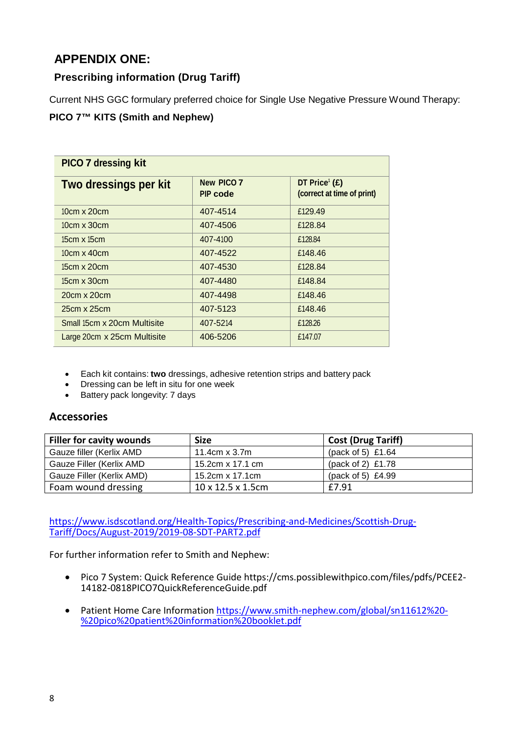## **APPENDIX ONE:**

## **Prescribing information (Drug Tariff)**

Current NHS GGC formulary preferred choice for Single Use Negative Pressure Wound Therapy: **PICO 7™ KITS (Smith and Nephew)**

| <b>PICO 7 dressing kit</b>  |                               |                                                         |  |  |  |
|-----------------------------|-------------------------------|---------------------------------------------------------|--|--|--|
| Two dressings per kit       | <b>New PICO 7</b><br>PIP code | DT Price <sup>1</sup> (£)<br>(correct at time of print) |  |  |  |
| $10cm \times 20cm$          | 407-4514                      | £129.49                                                 |  |  |  |
| $10cm \times 30cm$          | 407-4506                      | £128.84                                                 |  |  |  |
| $15cm \times 15cm$          | 407-4100                      | £128.84                                                 |  |  |  |
| $10cm \times 40cm$          | 407-4522                      | £148.46                                                 |  |  |  |
| $15cm \times 20cm$          | 407-4530                      | £128.84                                                 |  |  |  |
| $15cm \times 30cm$          | 407-4480                      | £148.84                                                 |  |  |  |
| 20cm x 20cm                 | 407-4498                      | £148.46                                                 |  |  |  |
| 25cm x 25cm                 | 407-5123                      | £148.46                                                 |  |  |  |
| Small 15cm x 20cm Multisite | 407-5214                      | £128.26                                                 |  |  |  |
| Large 20cm x 25cm Multisite | 406-5206                      | £147.07                                                 |  |  |  |

- Each kit contains: **two** dressings, adhesive retention strips and battery pack
- Dressing can be left in situ for one week
- Battery pack longevity: 7 days

## **Accessories**

| Filler for cavity wounds  | <b>Size</b>                    | <b>Cost (Drug Tariff)</b> |
|---------------------------|--------------------------------|---------------------------|
| Gauze filler (Kerlix AMD  | 11.4cm $\times$ 3.7m           | (pack of 5) $£1.64$       |
| Gauze Filler (Kerlix AMD  | 15.2cm x 17.1 cm               | (pack of 2) £1.78         |
| Gauze Filler (Kerlix AMD) | 15.2cm x 17.1cm                | (pack of 5) $£4.99$       |
| Foam wound dressing       | $10 \times 12.5 \times 1.5$ cm | £7.91                     |

[https://www.isdscotland.org/Health-Topics/Prescribing-and-Medicines/Scottish-Drug-](https://www.isdscotland.org/Health-Topics/Prescribing-and-Medicines/Scottish-Drug-Tariff/Docs/August-2019/2019-08-SDT-PART2.pdf)[Tariff/Docs/August-2019/2019-08-SDT-PART2.pdf](https://www.isdscotland.org/Health-Topics/Prescribing-and-Medicines/Scottish-Drug-Tariff/Docs/August-2019/2019-08-SDT-PART2.pdf)

For further information refer to Smith and Nephew:

- Pico 7 System: Quick Reference Guide https://cms.possiblewithpico.com/files/pdfs/PCEE2- 14182-0818PICO7QuickReferenceGuide.pdf
- Patient Home Care Information [https://www.smith-nephew.com/global/sn11612%20-](https://www.smith-nephew.com/global/sn11612%20-%20pico%20patient%20information%20booklet.pdf) [%20pico%20patient%20information%20booklet.pdf](https://www.smith-nephew.com/global/sn11612%20-%20pico%20patient%20information%20booklet.pdf)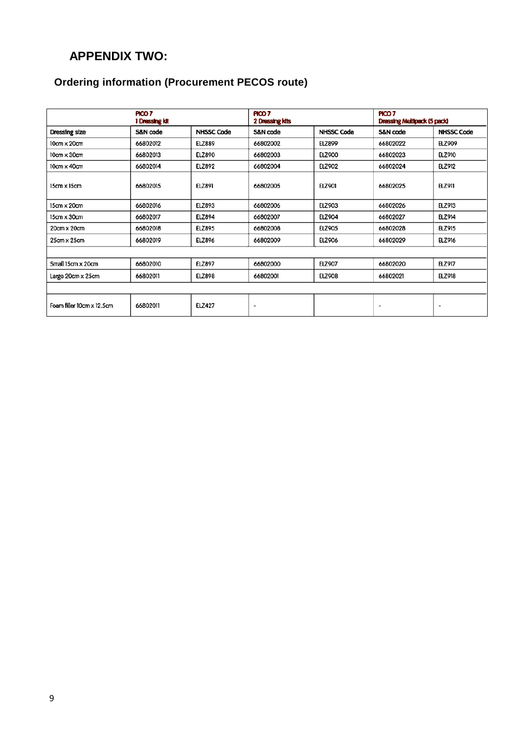# **APPENDIX TWO:**

# **Ordering information (Procurement PECOS route)**

|                           | PICO <sub>7</sub><br>1 Dressing kit |                   | PICO 7<br>2 Dressing kits |                   | PICO 7<br>Dressing Multipack (5 pack) |                   |  |
|---------------------------|-------------------------------------|-------------------|---------------------------|-------------------|---------------------------------------|-------------------|--|
| Dressing size             | S&N code                            | <b>NHSSC Code</b> | S&N code                  | <b>NHSSC Code</b> | S&N code                              | <b>NHSSC Code</b> |  |
| 10cm x 20cm               | 66802012                            | <b>ELZ889</b>     | 66802002                  | <b>ELZ899</b>     | 66802022                              | <b>ELZ909</b>     |  |
| 10cm x 30cm               | 66802013                            | <b>ELZ890</b>     | 66802003                  | <b>ELZ900</b>     | 66802023                              | <b>ELZ910</b>     |  |
| 10cm x 40cm               | 66802014                            | <b>ELZ892</b>     | 66802004                  | <b>ELZ902</b>     | 66802024                              | <b>ELZ912</b>     |  |
| 15cm x 15cm               | 66802015                            | <b>ELZ891</b>     | 66802005                  | <b>ELZ901</b>     | 66802025                              | <b>ELZ911</b>     |  |
| 15cm x 20cm               | 66802016                            | ELZ893            | 66802006                  | ELZ903            | 66802026                              | <b>ELZ913</b>     |  |
| 15cm x 30cm               | 66802017                            | <b>ELZ894</b>     | 66802007                  | <b>ELZ904</b>     | 66802027                              | <b>ELZ914</b>     |  |
| $20cm \times 20cm$        | 66802018                            | <b>ELZ895</b>     | 66802008                  | <b>ELZ905</b>     | 66802028                              | ELZ915            |  |
| 25cm x 25cm               | 66802019                            | <b>ELZ896</b>     | 66802009                  | ELZ906            | 66802029                              | <b>ELZ916</b>     |  |
|                           |                                     |                   |                           |                   |                                       |                   |  |
| Small 15cm x 20cm         | 66802010                            | <b>ELZ897</b>     | 66802000                  | <b>ELZ907</b>     | 66802020                              | <b>ELZ917</b>     |  |
| Large 20cm x 25cm         | 66802011                            | <b>ELZ898</b>     | 66802001                  | <b>ELZ908</b>     | 66802021                              | <b>ELZ918</b>     |  |
|                           |                                     |                   |                           |                   |                                       |                   |  |
| Foam filler 10cm x 12.5cm | 66802011                            | <b>ELZ427</b>     | $\blacksquare$            |                   | ٠                                     | ٠                 |  |